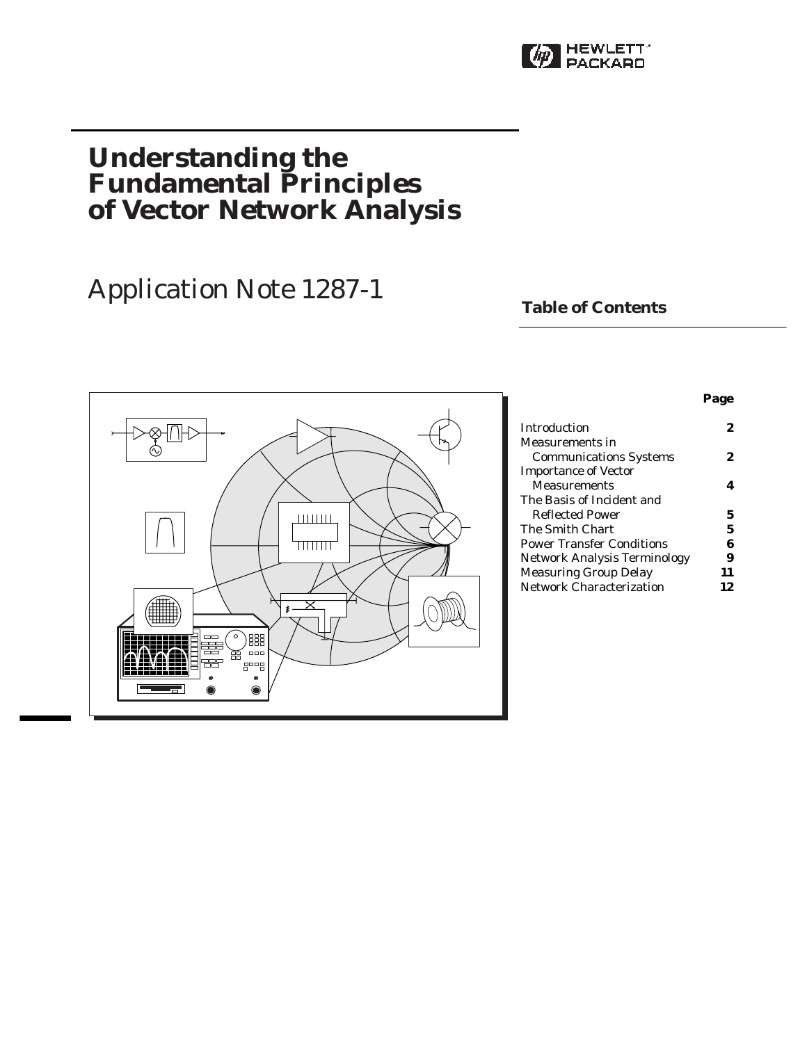

## **Understanding the Fundamental Principles of Vector Network Analysis**

# Application Note 1287-1 **Table of Contents**



| Introduction                     | 2  |
|----------------------------------|----|
| Measurements in                  |    |
| <b>Communications Systems</b>    | 2  |
| <b>Importance of Vector</b>      |    |
| <b>Measurements</b>              |    |
| The Basis of Incident and        |    |
| Reflected Power                  | 5  |
| The Smith Chart                  | 5  |
| <b>Power Transfer Conditions</b> | 6  |
| Network Analysis Terminology     | 9  |
| <b>Measuring Group Delay</b>     | 11 |
| <b>Network Characterization</b>  | 12 |
|                                  |    |

**Page**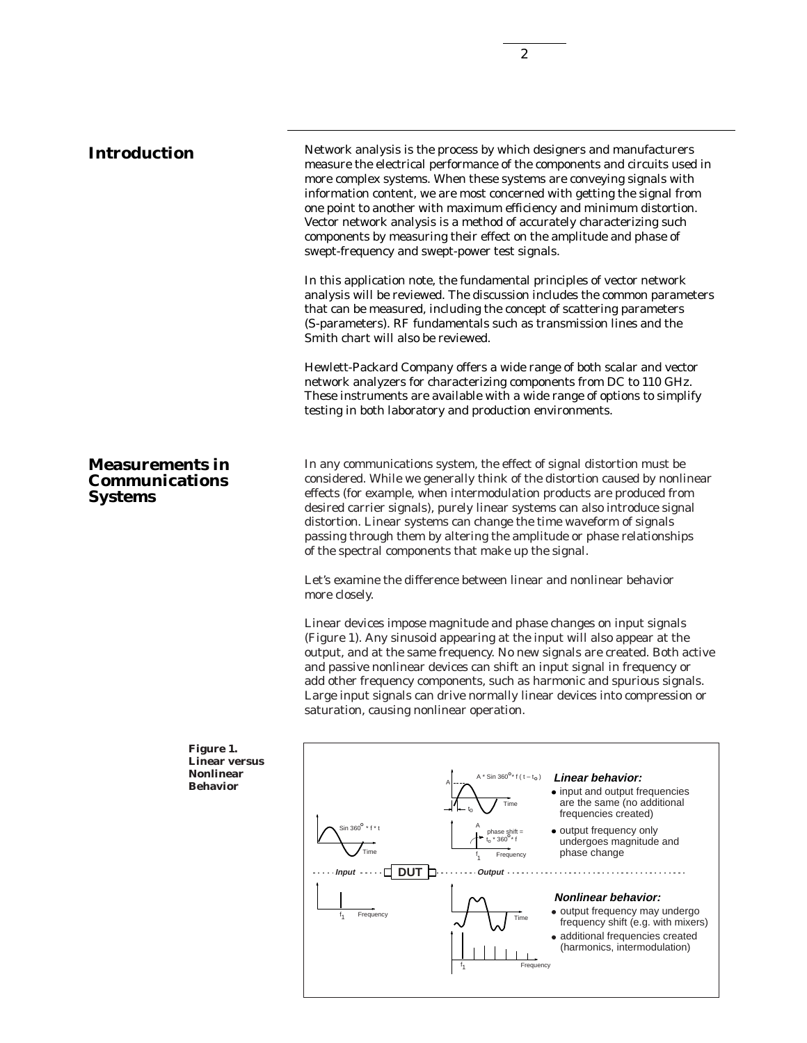**Introduction** Network analysis is the process by which designers and manufacturers measure the electrical performance of the components and circuits used in more complex systems. When these systems are conveying signals with information content, we are most concerned with getting the signal from one point to another with maximum efficiency and minimum distortion. Vector network analysis is a method of accurately characterizing such components by measuring their effect on the amplitude and phase of swept-frequency and swept-power test signals.

> In this application note, the fundamental principles of vector network analysis will be reviewed. The discussion includes the common parameters that can be measured, including the concept of scattering parameters (S-parameters). RF fundamentals such as transmission lines and the Smith chart will also be reviewed.

Hewlett-Packard Company offers a wide range of both scalar and vector network analyzers for characterizing components from DC to 110 GHz. These instruments are available with a wide range of options to simplify testing in both laboratory and production environments.

In any communications system, the effect of signal distortion must be considered. While we generally think of the distortion caused by nonlinear effects (for example, when intermodulation products are produced from desired carrier signals), purely linear systems can also introduce signal distortion. Linear systems can change the time waveform of signals passing through them by altering the amplitude or phase relationships of the spectral components that make up the signal.

Let's examine the difference between linear and nonlinear behavior more closely.

Linear devices impose magnitude and phase changes on input signals (Figure 1). Any sinusoid appearing at the input will also appear at the output, and at the same frequency. No new signals are created. Both active and passive nonlinear devices can shift an input signal in frequency or add other frequency components, such as harmonic and spurious signals. Large input signals can drive normally linear devices into compression or saturation, causing nonlinear operation.



### **Measurements in Communications Systems**

**Figure 1. Linear versus Nonlinear Behavior**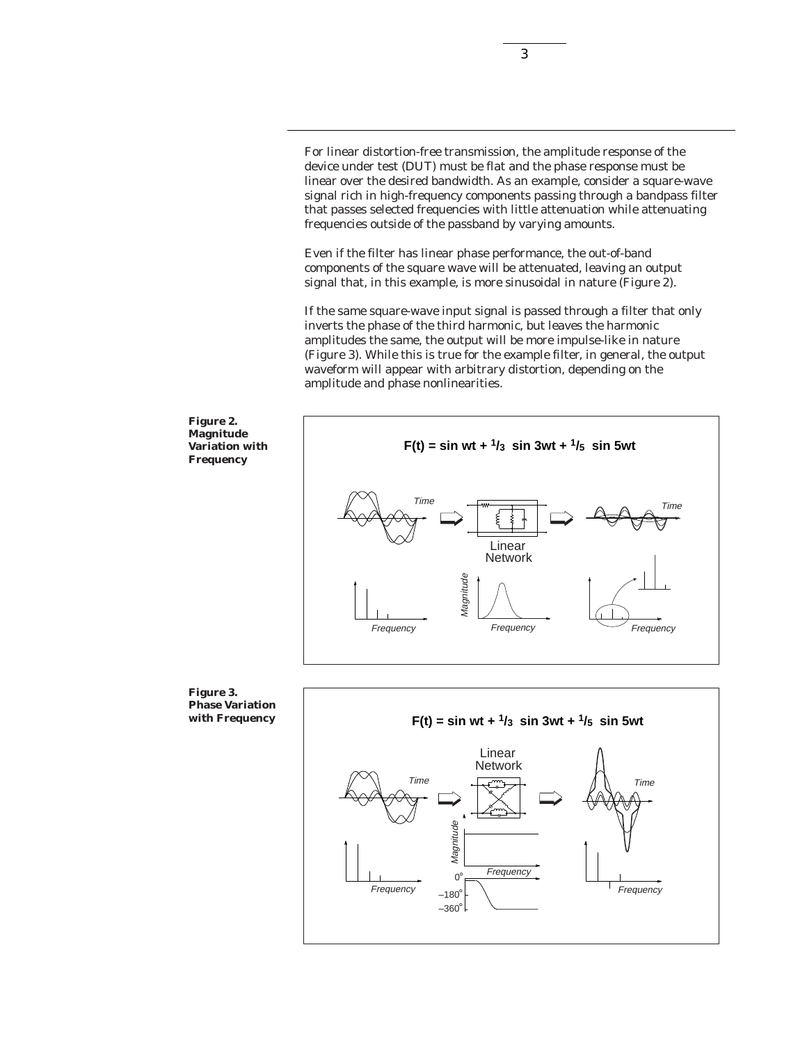For linear distortion-free transmission, the amplitude response of the device under test (DUT) must be flat and the phase response must be linear over the desired bandwidth. As an example, consider a square-wave signal rich in high-frequency components passing through a bandpass filter that passes selected frequencies with little attenuation while attenuating frequencies outside of the passband by varying amounts.

3

Even if the filter has linear phase performance, the out-of-band components of the square wave will be attenuated, leaving an output signal that, in this example, is more sinusoidal in nature (Figure 2).

If the same square-wave input signal is passed through a filter that only inverts the phase of the third harmonic, but leaves the harmonic amplitudes the same, the output will be more impulse-like in nature (Figure 3). While this is true for the example filter, in general, the output waveform will appear with arbitrary distortion, depending on the amplitude and phase nonlinearities.



**Phase Variation with Frequency**

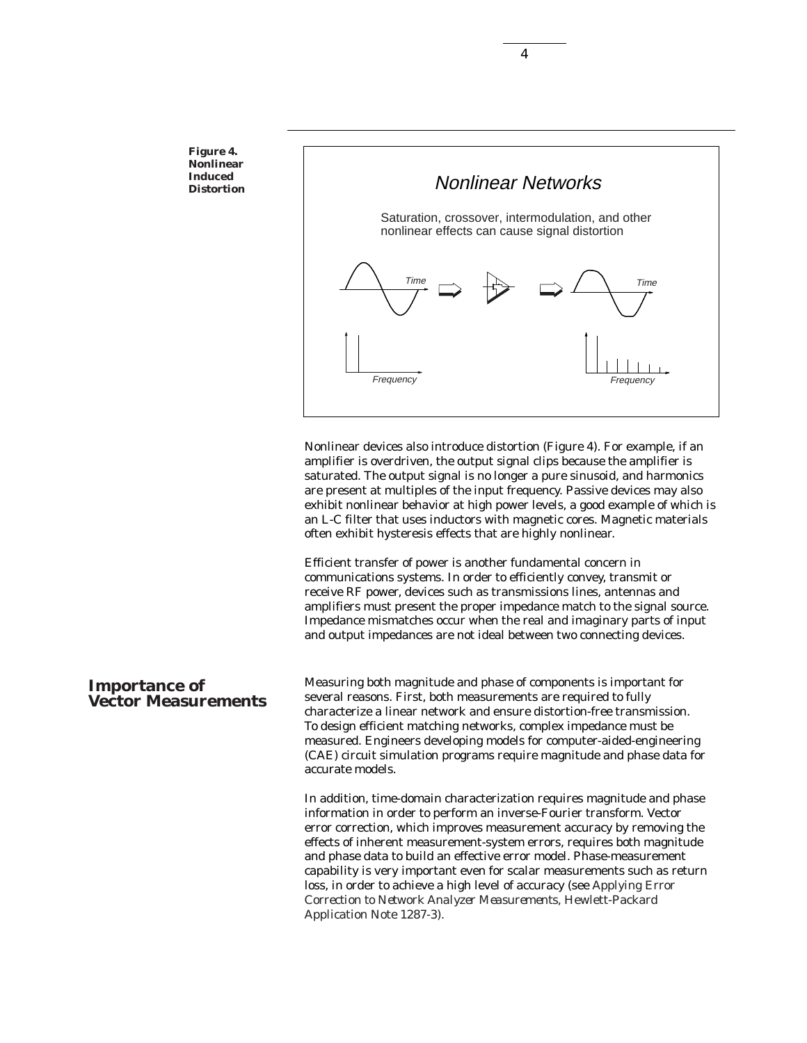**Figure 4. Nonlinear Induced Distortion**



Nonlinear devices also introduce distortion (Figure 4). For example, if an amplifier is overdriven, the output signal clips because the amplifier is saturated. The output signal is no longer a pure sinusoid, and harmonics are present at multiples of the input frequency. Passive devices may also exhibit nonlinear behavior at high power levels, a good example of which is an L-C filter that uses inductors with magnetic cores. Magnetic materials often exhibit hysteresis effects that are highly nonlinear.

Efficient transfer of power is another fundamental concern in communications systems. In order to efficiently convey, transmit or receive RF power, devices such as transmissions lines, antennas and amplifiers must present the proper impedance match to the signal source. Impedance mismatches occur when the real and imaginary parts of input and output impedances are not ideal between two connecting devices.

#### **Importance of Vector Measurements**

Measuring both magnitude and phase of components is important for several reasons. First, both measurements are required to fully characterize a linear network and ensure distortion-free transmission. To design efficient matching networks, complex impedance must be measured. Engineers developing models for computer-aided-engineering (CAE) circuit simulation programs require magnitude and phase data for accurate models.

In addition, time-domain characterization requires magnitude and phase information in order to perform an inverse-Fourier transform. Vector error correction, which improves measurement accuracy by removing the effects of inherent measurement-system errors, requires both magnitude and phase data to build an effective error model. Phase-measurement capability is very important even for scalar measurements such as return loss, in order to achieve a high level of accuracy (see *Applying Error Correction to Network Analyzer Measurements*, Hewlett-Packard Application Note 1287-3).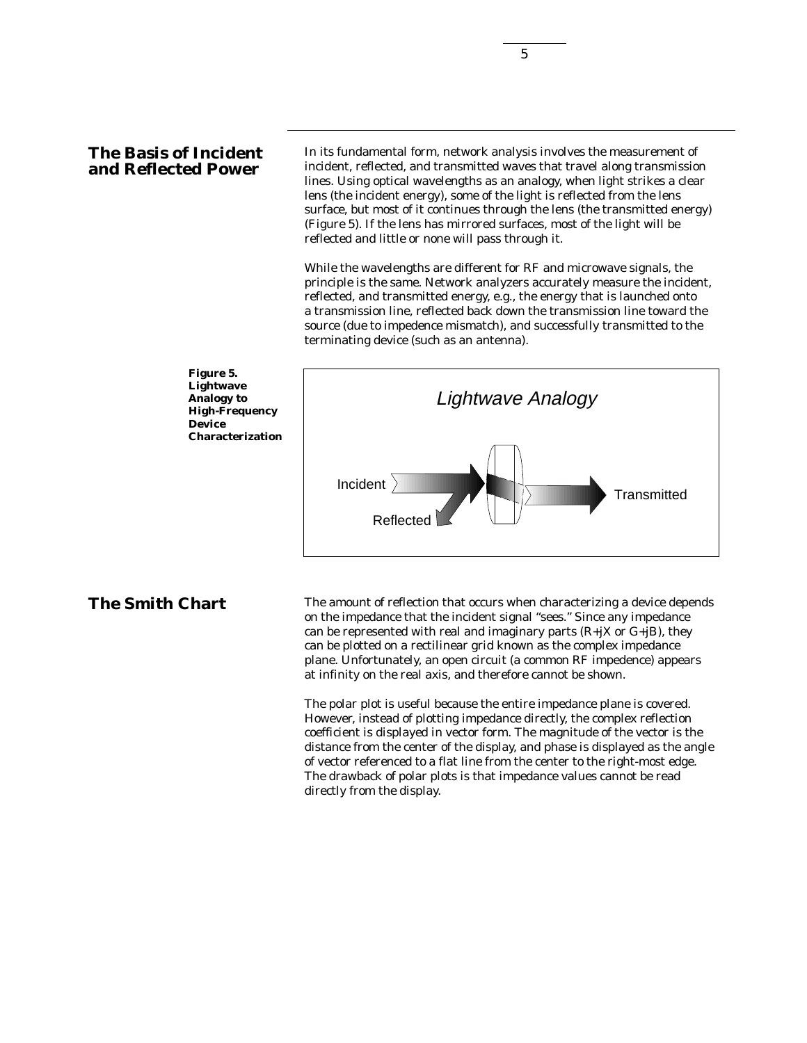### **The Basis of Incident and Reflected Power**

In its fundamental form, network analysis involves the measurement of incident, reflected, and transmitted waves that travel along transmission lines. Using optical wavelengths as an analogy, when light strikes a clear lens (the incident energy), some of the light is reflected from the lens surface, but most of it continues through the lens (the transmitted energy) (Figure 5). If the lens has mirrored surfaces, most of the light will be reflected and little or none will pass through it.

While the wavelengths are different for RF and microwave signals, the principle is the same. Network analyzers accurately measure the incident, reflected, and transmitted energy, e.g., the energy that is launched onto a transmission line, reflected back down the transmission line toward the source (due to impedence mismatch), and successfully transmitted to the terminating device (such as an antenna).



**The Smith Chart** The amount of reflection that occurs when characterizing a device depends on the impedance that the incident signal "sees." Since any impedance can be represented with real and imaginary parts  $(R+{i}X$  or  $G+{i}B)$ , they can be plotted on a rectilinear grid known as the complex impedance plane. Unfortunately, an open circuit (a common RF impedence) appears at infinity on the real axis, and therefore cannot be shown.

> The polar plot is useful because the entire impedance plane is covered. However, instead of plotting impedance directly, the complex reflection coefficient is displayed in vector form. The magnitude of the vector is the distance from the center of the display, and phase is displayed as the angle of vector referenced to a flat line from the center to the right-most edge. The drawback of polar plots is that impedance values cannot be read directly from the display.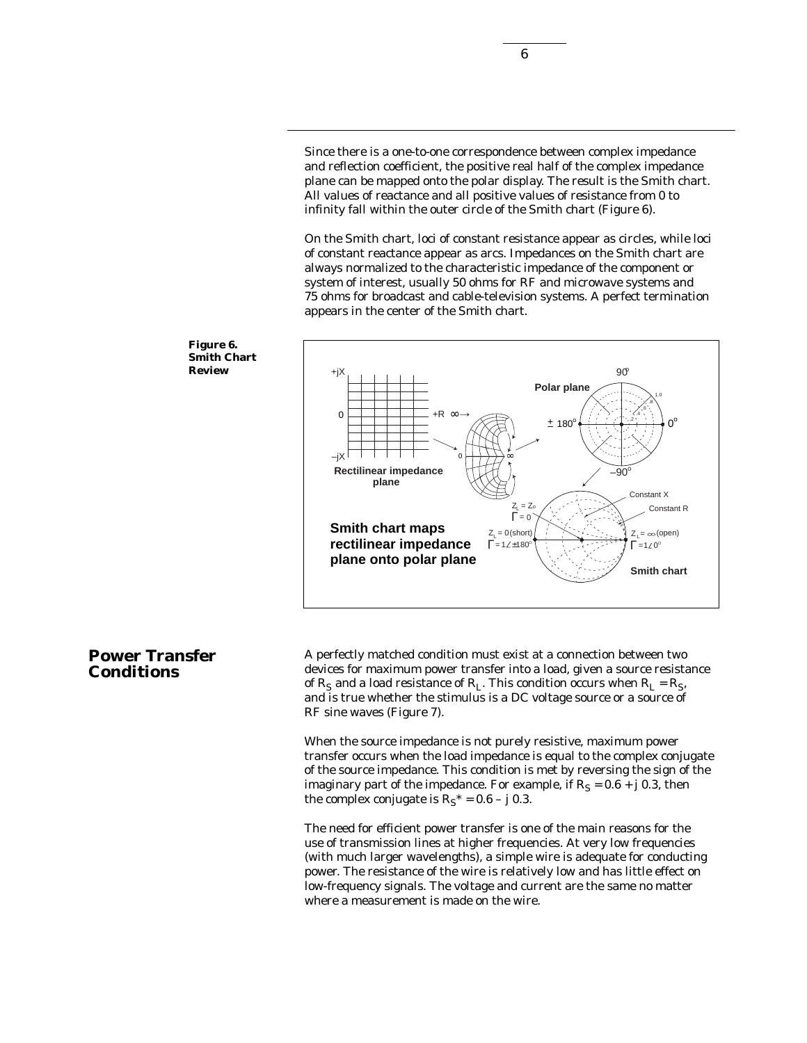Since there is a one-to-one correspondence between complex impedance and reflection coefficient, the positive real half of the complex impedance plane can be mapped onto the polar display. The result is the Smith chart. All values of reactance and all positive values of resistance from 0 to infinity fall within the outer circle of the Smith chart (Figure 6).

On the Smith chart, loci of constant resistance appear as circles, while loci of constant reactance appear as arcs. Impedances on the Smith chart are always normalized to the characteristic impedance of the component or system of interest, usually 50 ohms for RF and microwave systems and 75 ohms for broadcast and cable-television systems. A perfect termination appears in the center of the Smith chart.



A perfectly matched condition must exist at a connection between two devices for maximum power transfer into a load, given a source resistance of  $R_S$  and a load resistance of  $R_L$ . This condition occurs when  $R_L = R_S$ , and is true whether the stimulus is a DC voltage source or a source of RF sine waves (Figure 7).

When the source impedance is not purely resistive, maximum power transfer occurs when the load impedance is equal to the complex conjugate of the source impedance. This condition is met by reversing the sign of the imaginary part of the impedance. For example, if  $R_s = 0.6 + j 0.3$ , then the complex conjugate is  $R<sub>S</sub><sup>*</sup> = 0.6 - j 0.3$ .

The need for efficient power transfer is one of the main reasons for the use of transmission lines at higher frequencies. At very low frequencies (with much larger wavelengths), a simple wire is adequate for conducting power. The resistance of the wire is relatively low and has little effect on low-frequency signals. The voltage and current are the same no matter where a measurement is made on the wire.



### **Power Transfer Conditions**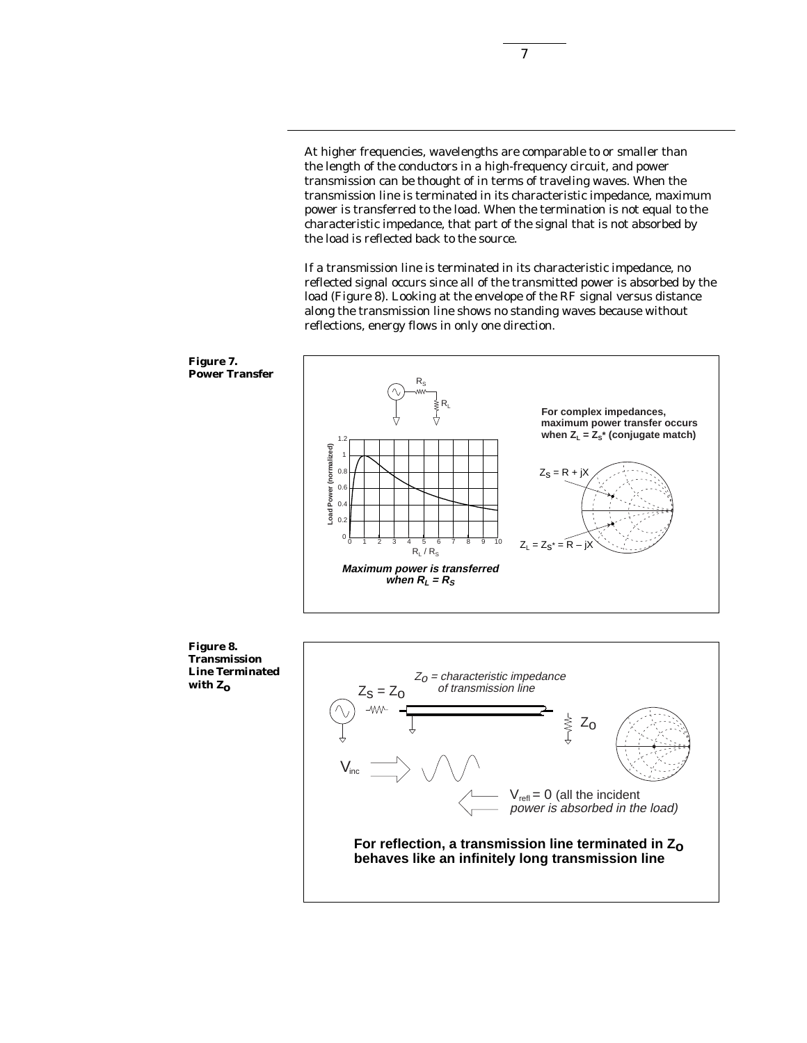At higher frequencies, wavelengths are comparable to or smaller than the length of the conductors in a high-frequency circuit, and power transmission can be thought of in terms of traveling waves. When the transmission line is terminated in its characteristic impedance, maximum power is transferred to the load. When the termination is not equal to the characteristic impedance, that part of the signal that is not absorbed by the load is reflected back to the source.

If a transmission line is terminated in its characteristic impedance, no reflected signal occurs since all of the transmitted power is absorbed by the load (Figure 8). Looking at the envelope of the RF signal versus distance along the transmission line shows no standing waves because without reflections, energy flows in only one direction.





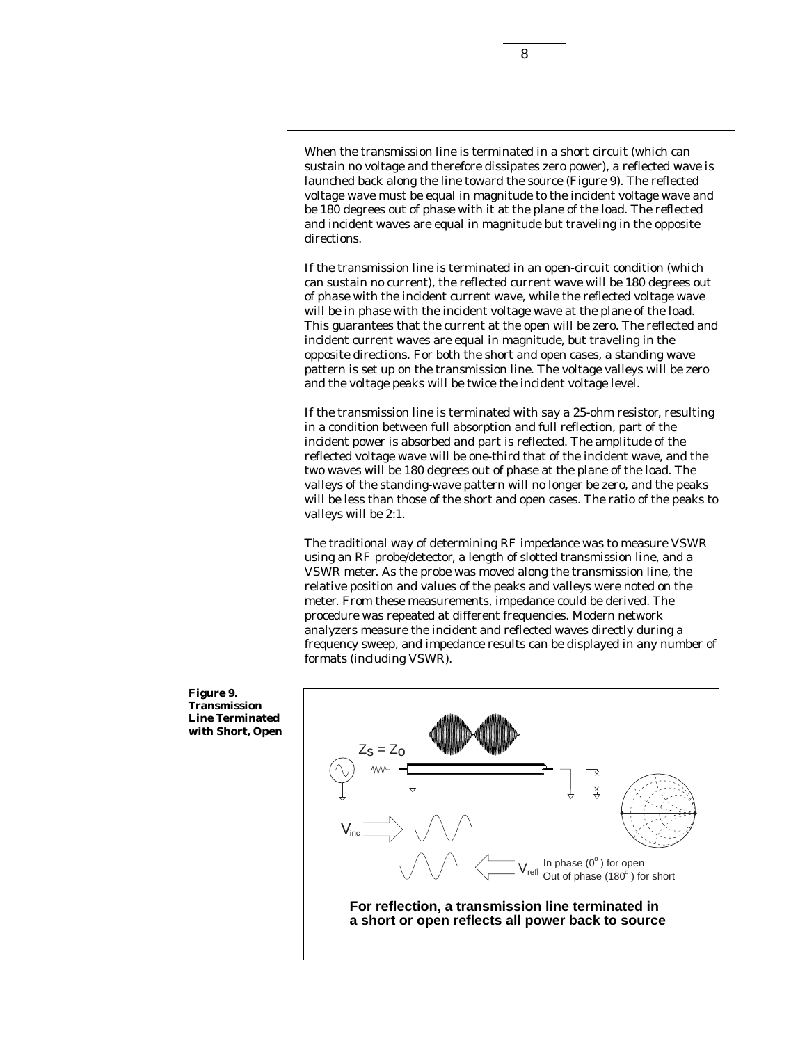When the transmission line is terminated in a short circuit (which can sustain no voltage and therefore dissipates zero power), a reflected wave is launched back along the line toward the source (Figure 9). The reflected voltage wave must be equal in magnitude to the incident voltage wave and be 180 degrees out of phase with it at the plane of the load. The reflected and incident waves are equal in magnitude but traveling in the opposite directions.

If the transmission line is terminated in an open-circuit condition (which can sustain no current), the reflected current wave will be 180 degrees out of phase with the incident current wave, while the reflected voltage wave will be in phase with the incident voltage wave at the plane of the load. This guarantees that the current at the open will be zero. The reflected and incident current waves are equal in magnitude, but traveling in the opposite directions. For both the short and open cases, a standing wave pattern is set up on the transmission line. The voltage valleys will be zero and the voltage peaks will be twice the incident voltage level.

If the transmission line is terminated with say a 25-ohm resistor, resulting in a condition between full absorption and full reflection, part of the incident power is absorbed and part is reflected. The amplitude of the reflected voltage wave will be one-third that of the incident wave, and the two waves will be 180 degrees out of phase at the plane of the load. The valleys of the standing-wave pattern will no longer be zero, and the peaks will be less than those of the short and open cases. The ratio of the peaks to valleys will be 2:1.

The traditional way of determining RF impedance was to measure VSWR using an RF probe/detector, a length of slotted transmission line, and a VSWR meter. As the probe was moved along the transmission line, the relative position and values of the peaks and valleys were noted on the meter. From these measurements, impedance could be derived. The procedure was repeated at different frequencies. Modern network analyzers measure the incident and reflected waves directly during a frequency sweep, and impedance results can be displayed in any number of formats (including VSWR).



**Figure 9. Transmission Line Terminated with Short, Open**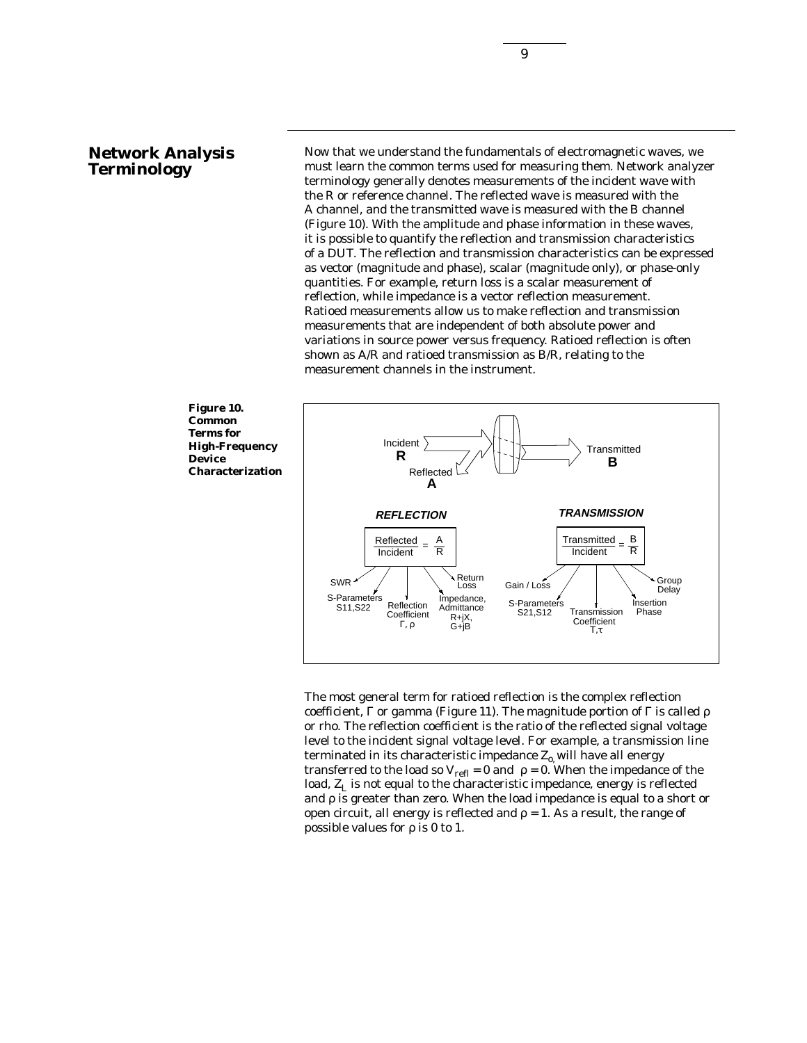#### **Network Analysis Terminology**

Now that we understand the fundamentals of electromagnetic waves, we must learn the common terms used for measuring them. Network analyzer terminology generally denotes measurements of the incident wave with the R or reference channel. The reflected wave is measured with the A channel, and the transmitted wave is measured with the B channel (Figure 10). With the amplitude and phase information in these waves, it is possible to quantify the reflection and transmission characteristics of a DUT. The reflection and transmission characteristics can be expressed as vector (magnitude and phase), scalar (magnitude only), or phase-only quantities. For example, return loss is a scalar measurement of reflection, while impedance is a vector reflection measurement. Ratioed measurements allow us to make reflection and transmission measurements that are independent of both absolute power and variations in source power versus frequency. Ratioed reflection is often shown as A/R and ratioed transmission as B/R, relating to the measurement channels in the instrument.



The most general term for ratioed reflection is the complex reflection coefficient, Γ or gamma (Figure 11). The magnitude portion of Γ is called ρ or rho. The reflection coefficient is the ratio of the reflected signal voltage level to the incident signal voltage level. For example, a transmission line terminated in its characteristic impedance  $Z_{0}$ , will have all energy transferred to the load so  $V_{refl} = 0$  and  $\rho = 0$ . When the impedance of the load,  $Z_L$  is not equal to the characteristic impedance, energy is reflected and  $\rho$  is greater than zero. When the load impedance is equal to a short or open circuit, all energy is reflected and  $\rho = 1$ . As a result, the range of possible values for ρ is 0 to 1.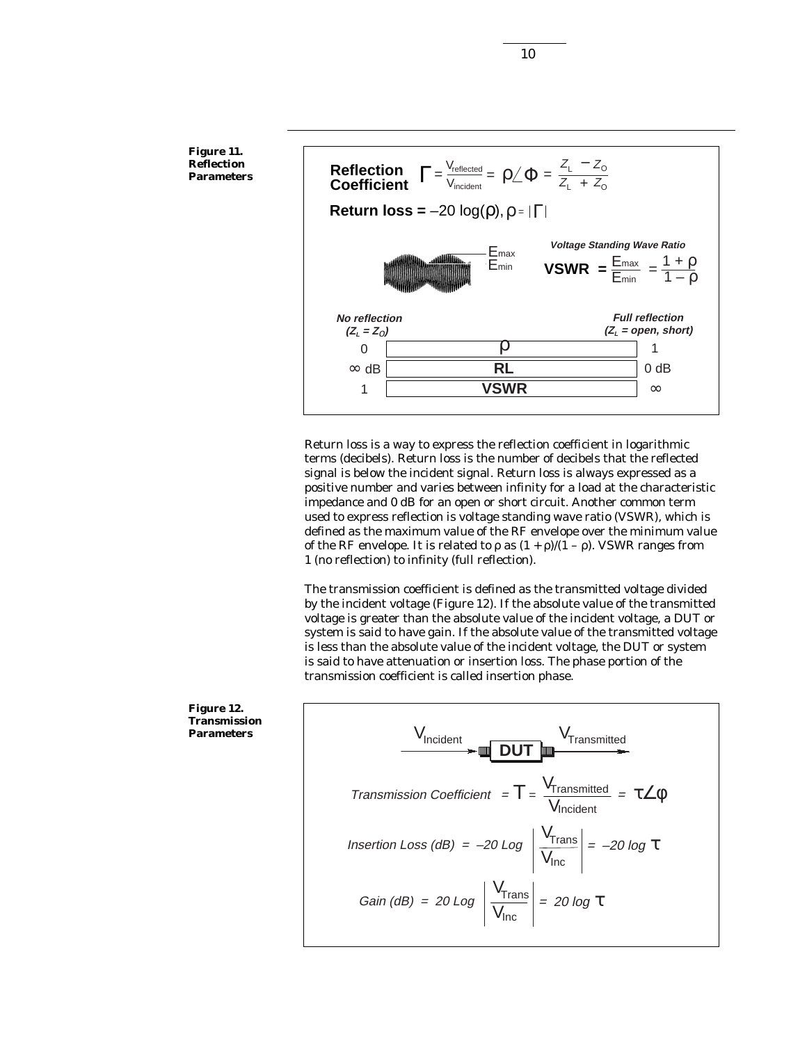**Figure 11. Reflection Parameters**



Return loss is a way to express the reflection coefficient in logarithmic terms (decibels). Return loss is the number of decibels that the reflected signal is below the incident signal. Return loss is always expressed as a positive number and varies between infinity for a load at the characteristic impedance and 0 dB for an open or short circuit. Another common term used to express reflection is voltage standing wave ratio (VSWR), which is defined as the maximum value of the RF envelope over the minimum value of the RF envelope. It is related to  $\rho$  as  $(1 + \rho)/(1 - \rho)$ . VSWR ranges from 1 (no reflection) to infinity (full reflection).

The transmission coefficient is defined as the transmitted voltage divided by the incident voltage (Figure 12). If the absolute value of the transmitted voltage is greater than the absolute value of the incident voltage, a DUT or system is said to have gain. If the absolute value of the transmitted voltage is less than the absolute value of the incident voltage, the DUT or system is said to have attenuation or insertion loss. The phase portion of the transmission coefficient is called insertion phase.

 $V_{\text{Incident}}$   $V_{\text{Transmitted}}$ Transmission Coefficient =  $T = \frac{V_{\text{Transmitted}}}{V_{\text{max}}}$ **V**Incident <sup>=</sup>τ∠φ **DUT** Gain (dB) = 20 Log  $\frac{V_{\text{Trans}}}{V_{\text{Trans}}}$  $V_{\text{Inc}}$  $= 20 log T$ Insertion Loss (dB) =  $-20$  Log  $\frac{V_{\text{Trans}}}{V_{\text{Trans}}}$  $V_{\text{Inc}}$  $= -20 log T$ 

**Figure 12. Transmission Parameters**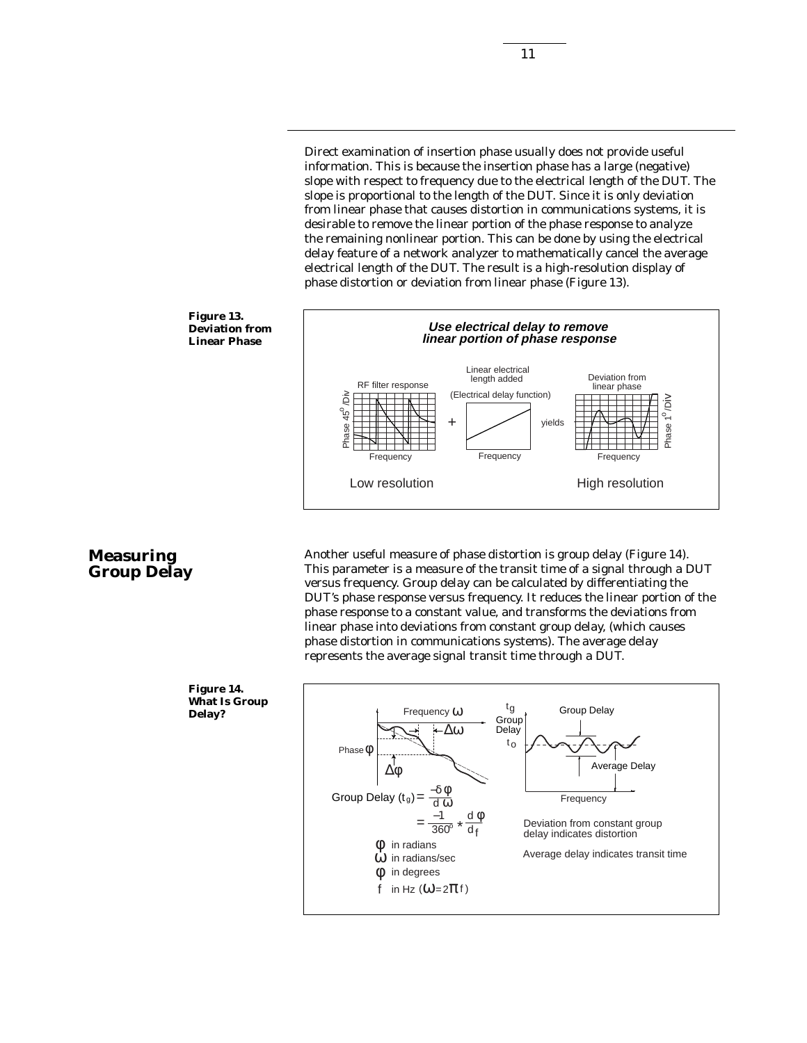Direct examination of insertion phase usually does not provide useful information. This is because the insertion phase has a large (negative) slope with respect to frequency due to the electrical length of the DUT. The slope is proportional to the length of the DUT. Since it is only deviation from linear phase that causes distortion in communications systems, it is desirable to remove the linear portion of the phase response to analyze the remaining nonlinear portion. This can be done by using the electrical delay feature of a network analyzer to mathematically cancel the average electrical length of the DUT. The result is a high-resolution display of phase distortion or deviation from linear phase (Figure 13).



### **Measuring Group Delay**

Another useful measure of phase distortion is group delay (Figure 14). This parameter is a measure of the transit time of a signal through a DUT versus frequency. Group delay can be calculated by differentiating the DUT's phase response versus frequency. It reduces the linear portion of the phase response to a constant value, and transforms the deviations from linear phase into deviations from constant group delay, (which causes phase distortion in communications systems). The average delay represents the average signal transit time through a DUT.

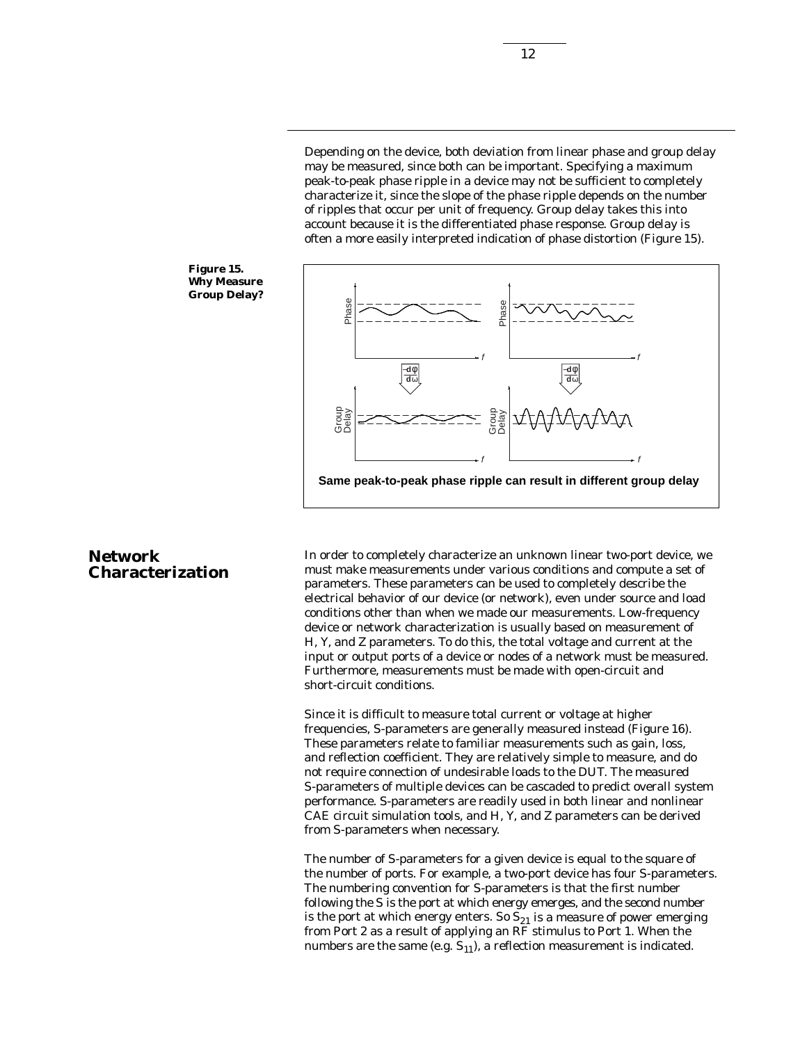Depending on the device, both deviation from linear phase and group delay may be measured, since both can be important. Specifying a maximum peak-to-peak phase ripple in a device may not be sufficient to completely characterize it, since the slope of the phase ripple depends on the number of ripples that occur per unit of frequency. Group delay takes this into account because it is the differentiated phase response. Group delay is often a more easily interpreted indication of phase distortion (Figure 15).





### **Network Characterization**

In order to completely characterize an unknown linear two-port device, we must make measurements under various conditions and compute a set of parameters. These parameters can be used to completely describe the electrical behavior of our device (or network), even under source and load conditions other than when we made our measurements. Low-frequency device or network characterization is usually based on measurement of H, Y, and Z parameters. To do this, the total voltage and current at the input or output ports of a device or nodes of a network must be measured. Furthermore, measurements must be made with open-circuit and short-circuit conditions.

Since it is difficult to measure total current or voltage at higher frequencies, S-parameters are generally measured instead (Figure 16). These parameters relate to familiar measurements such as gain, loss, and reflection coefficient. They are relatively simple to measure, and do not require connection of undesirable loads to the DUT. The measured S-parameters of multiple devices can be cascaded to predict overall system performance. S-parameters are readily used in both linear and nonlinear CAE circuit simulation tools, and H, Y, and Z parameters can be derived from S-parameters when necessary.

The number of S-parameters for a given device is equal to the square of the number of ports. For example, a two-port device has four S-parameters. The numbering convention for S-parameters is that the first number following the S is the port at which energy emerges, and the second number is the port at which energy enters. So  $S_{21}$  is a measure of power emerging from Port 2 as a result of applying an RF stimulus to Port 1. When the numbers are the same (e.g.  $S_{11}$ ), a reflection measurement is indicated.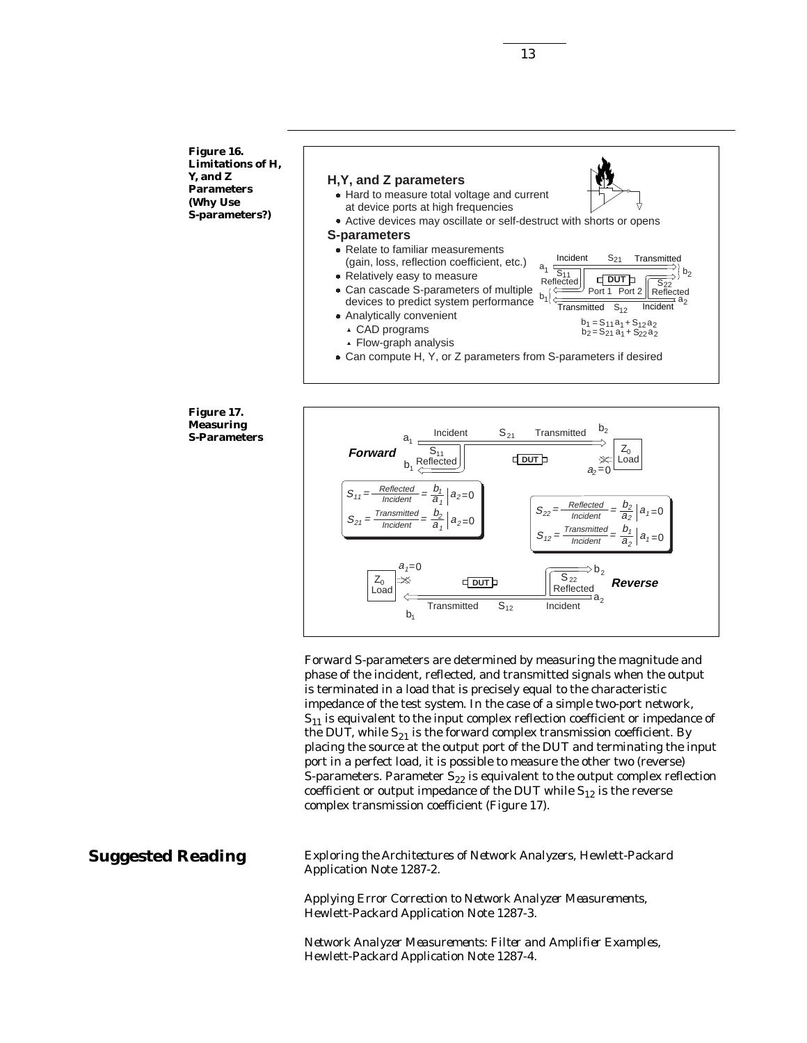**Figure 16. Limitations of H, Y, and Z Parameters (Why Use S-parameters?)**



#### **Figure 17. Measuring S-Parameters**



Forward S-parameters are determined by measuring the magnitude and phase of the incident, reflected, and transmitted signals when the output is terminated in a load that is precisely equal to the characteristic impedance of the test system. In the case of a simple two-port network,  $S_{11}$  is equivalent to the input complex reflection coefficient or impedance of the DUT, while  $S_{21}$  is the forward complex transmission coefficient. By placing the source at the output port of the DUT and terminating the input port in a perfect load, it is possible to measure the other two (reverse) S-parameters. Parameter  $S_{22}$  is equivalent to the output complex reflection coefficient or output impedance of the DUT while  $S_{12}$  is the reverse complex transmission coefficient (Figure 17).

### **Suggested Reading**

*Exploring the Architectures of Network Analyzers*, Hewlett-Packard Application Note 1287-2.

*Applying Error Correction to Network Analyzer Measurements*, Hewlett-Packard Application Note 1287-3.

*Network Analyzer Measurements: Filter and Amplifier Examples*, Hewlett-Packard Application Note 1287-4.

13